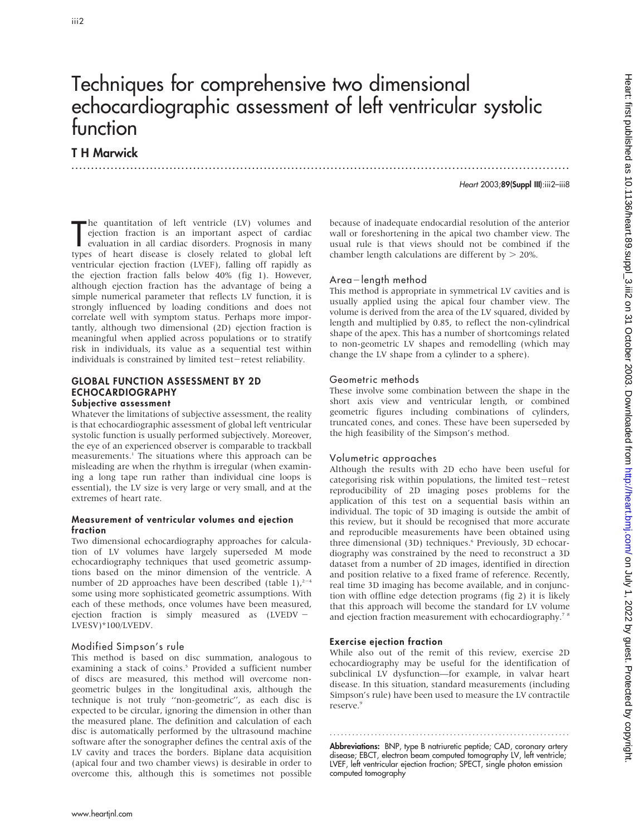# Techniques for comprehensive two dimensional echocardiographic assessment of left ventricular systolic function

.............................................................................................................................. .

# T H Marwick

Heart 2003;89(Suppl III):iii2–iii8

The quantitation of left ventricle (LV) volumes and<br>ejection fraction is an important aspect of cardiac<br>evaluation in all cardiac disorders. Prognosis in many<br>types of heart disease is closely related to global left he quantitation of left ventricle (LV) volumes and ejection fraction is an important aspect of cardiac evaluation in all cardiac disorders. Prognosis in many ventricular ejection fraction (LVEF), falling off rapidly as the ejection fraction falls below 40% (fig 1). However, although ejection fraction has the advantage of being a simple numerical parameter that reflects LV function, it is strongly influenced by loading conditions and does not correlate well with symptom status. Perhaps more importantly, although two dimensional (2D) ejection fraction is meaningful when applied across populations or to stratify risk in individuals, its value as a sequential test within individuals is constrained by limited test-retest reliability.

# GLOBAL FUNCTION ASSESSMENT BY 2D ECHOCARDIOGRAPHY

### Subjective assessment

Whatever the limitations of subjective assessment, the reality is that echocardiographic assessment of global left ventricular systolic function is usually performed subjectively. Moreover, the eye of an experienced observer is comparable to trackball measurements.<sup>1</sup> The situations where this approach can be misleading are when the rhythm is irregular (when examining a long tape run rather than individual cine loops is essential), the LV size is very large or very small, and at the extremes of heart rate.

### Measurement of ventricular volumes and ejection fraction

Two dimensional echocardiography approaches for calculation of LV volumes have largely superseded M mode echocardiography techniques that used geometric assumptions based on the minor dimension of the ventricle. A number of 2D approaches have been described (table 1), $2^{-4}$ some using more sophisticated geometric assumptions. With each of these methods, once volumes have been measured, ejection fraction is simply measured as  $(LVEDV -$ LVESV)\*100/LVEDV.

# Modified Simpson's rule

This method is based on disc summation, analogous to examining a stack of coins.<sup>5</sup> Provided a sufficient number of discs are measured, this method will overcome nongeometric bulges in the longitudinal axis, although the technique is not truly ''non-geometric'', as each disc is expected to be circular, ignoring the dimension in other than the measured plane. The definition and calculation of each disc is automatically performed by the ultrasound machine software after the sonographer defines the central axis of the LV cavity and traces the borders. Biplane data acquisition (apical four and two chamber views) is desirable in order to overcome this, although this is sometimes not possible

because of inadequate endocardial resolution of the anterior wall or foreshortening in the apical two chamber view. The usual rule is that views should not be combined if the chamber length calculations are different by  $> 20\%$ .

# $Area$ -length method

This method is appropriate in symmetrical LV cavities and is usually applied using the apical four chamber view. The volume is derived from the area of the LV squared, divided by length and multiplied by 0.85, to reflect the non-cylindrical shape of the apex. This has a number of shortcomings related to non-geometric LV shapes and remodelling (which may change the LV shape from a cylinder to a sphere).

### Geometric methods

These involve some combination between the shape in the short axis view and ventricular length, or combined geometric figures including combinations of cylinders, truncated cones, and cones. These have been superseded by the high feasibility of the Simpson's method.

# Volumetric approaches

Although the results with 2D echo have been useful for categorising risk within populations, the limited test-retest reproducibility of 2D imaging poses problems for the application of this test on a sequential basis within an individual. The topic of 3D imaging is outside the ambit of this review, but it should be recognised that more accurate and reproducible measurements have been obtained using three dimensional (3D) techniques.<sup>6</sup> Previously, 3D echocardiography was constrained by the need to reconstruct a 3D dataset from a number of 2D images, identified in direction and position relative to a fixed frame of reference. Recently, real time 3D imaging has become available, and in conjunction with offline edge detection programs (fig 2) it is likely that this approach will become the standard for LV volume and ejection fraction measurement with echocardiography.<sup>78</sup>

# Exercise ejection fraction

While also out of the remit of this review, exercise 2D echocardiography may be useful for the identification of subclinical LV dysfunction—for example, in valvar heart disease. In this situation, standard measurements (including Simpson's rule) have been used to measure the LV contractile reserve.<sup>9</sup>

Abbreviations: BNP, type B natriuretic peptide; CAD, coronary artery disease; EBCT, electron beam computed tomography LV, left ventricle; LVEF, left ventricular ejection fraction; SPECT, single photon emission computed tomography

............................................................... .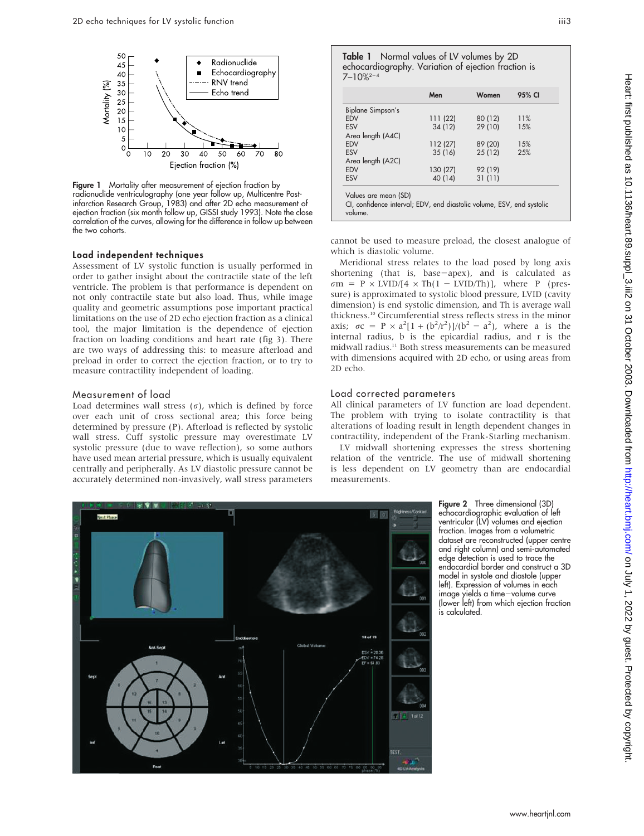

Figure 1 Mortality after measurement of ejection fraction by radionuclide ventriculography (one year follow up, Multicentre Postinfarction Research Group, 1983) and after 2D echo measurement of ejection fraction (six month follow up, GISSI study 1993). Note the close correlation of the curves, allowing for the difference in follow up between the two cohorts.

### Load independent techniques

Assessment of LV systolic function is usually performed in order to gather insight about the contractile state of the left ventricle. The problem is that performance is dependent on not only contractile state but also load. Thus, while image quality and geometric assumptions pose important practical limitations on the use of 2D echo ejection fraction as a clinical tool, the major limitation is the dependence of ejection fraction on loading conditions and heart rate (fig 3). There are two ways of addressing this: to measure afterload and preload in order to correct the ejection fraction, or to try to measure contractility independent of loading.

# Measurement of load

Load determines wall stress  $(\sigma)$ , which is defined by force over each unit of cross sectional area; this force being determined by pressure (P). Afterload is reflected by systolic wall stress. Cuff systolic pressure may overestimate LV systolic pressure (due to wave reflection), so some authors have used mean arterial pressure, which is usually equivalent centrally and peripherally. As LV diastolic pressure cannot be accurately determined non-invasively, wall stress parameters

|                                                                                                          | Men      | Women   | 95% CI |
|----------------------------------------------------------------------------------------------------------|----------|---------|--------|
| Biplane Simpson's                                                                                        |          |         |        |
| <b>EDV</b>                                                                                               | 111 (22) | 80 (12) | 11%    |
| <b>ESV</b>                                                                                               | 34 (12)  | 29 (10) | 15%    |
| Area length (A4C)                                                                                        |          |         |        |
| <b>EDV</b>                                                                                               | 112(27)  | 89 (20) | 15%    |
| <b>FSV</b>                                                                                               | 35(16)   | 25(12)  | 25%    |
| Area length (A2C)                                                                                        |          |         |        |
| <b>EDV</b>                                                                                               | 130 (27) | 92 (19) |        |
| <b>ESV</b>                                                                                               | 40 (14)  | 31(11)  |        |
| Values are mean (SD)<br>CI, confidence interval; EDV, end diastolic volume, ESV, end systolic<br>volume. |          |         |        |

cannot be used to measure preload, the closest analogue of which is diastolic volume.

Meridional stress relates to the load posed by long axis shortening (that is, base-apex), and is calculated as  $\sigma m = P \times LVID/[4 \times Th(1 - LVID/Th)],$  where P (pressure) is approximated to systolic blood pressure, LVID (cavity dimension) is end systolic dimension, and Th is average wall thickness.10 Circumferential stress reflects stress in the minor axis;  $\sigma c = P \times a^2 [1 + (b^2/r^2)]/(b^2 - a^2)$ , where a is the internal radius, b is the epicardial radius, and r is the midwall radius.11 Both stress measurements can be measured with dimensions acquired with 2D echo, or using areas from 2D echo.

### Load corrected parameters

All clinical parameters of LV function are load dependent. The problem with trying to isolate contractility is that alterations of loading result in length dependent changes in contractility, independent of the Frank-Starling mechanism.

LV midwall shortening expresses the stress shortening relation of the ventricle. The use of midwall shortening is less dependent on LV geometry than are endocardial measurements.



Figure 2 Three dimensional (3D) echocardiographic evaluation of left ventricular (LV) volumes and ejection fraction. Images from a volumetric dataset are reconstructed (upper centre and right column) and semi-automated edge detection is used to trace the endocardial border and construct a 3D model in systole and diastole (upper left). Expression of volumes in each image yields a time-volume curve (lower left) from which ejection fraction is calculated.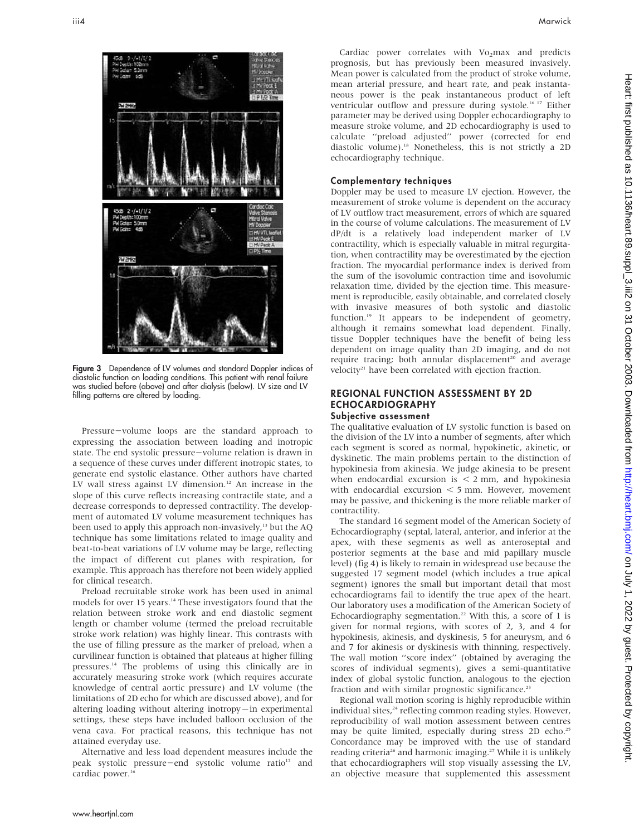

Figure 3 Dependence of LV volumes and standard Doppler indices of diastolic function on loading conditions. This patient with renal failure was studied before (above) and after dialysis (below). LV size and LV filling patterns are altered by loading.

Pressure-volume loops are the standard approach to expressing the association between loading and inotropic state. The end systolic pressure-volume relation is drawn in a sequence of these curves under different inotropic states, to generate end systolic elastance. Other authors have charted LV wall stress against LV dimension.<sup>12</sup> An increase in the slope of this curve reflects increasing contractile state, and a decrease corresponds to depressed contractility. The development of automated LV volume measurement techniques has been used to apply this approach non-invasively,<sup>13</sup> but the AQ technique has some limitations related to image quality and beat-to-beat variations of LV volume may be large, reflecting the impact of different cut planes with respiration, for example. This approach has therefore not been widely applied for clinical research.

Preload recruitable stroke work has been used in animal models for over 15 years.<sup>14</sup> These investigators found that the relation between stroke work and end diastolic segment length or chamber volume (termed the preload recruitable stroke work relation) was highly linear. This contrasts with the use of filling pressure as the marker of preload, when a curvilinear function is obtained that plateaus at higher filling pressures.14 The problems of using this clinically are in accurately measuring stroke work (which requires accurate knowledge of central aortic pressure) and LV volume (the limitations of 2D echo for which are discussed above), and for altering loading without altering inotropy $-\text{in}$  experimental settings, these steps have included balloon occlusion of the vena cava. For practical reasons, this technique has not attained everyday use.

Alternative and less load dependent measures include the peak systolic pressure-end systolic volume ratio<sup>15</sup> and cardiac power.<sup>16</sup>

Cardiac power correlates with Vo<sub>2</sub>max and predicts prognosis, but has previously been measured invasively. Mean power is calculated from the product of stroke volume, mean arterial pressure, and heart rate, and peak instantaneous power is the peak instantaneous product of left ventricular outflow and pressure during systole.<sup>16 17</sup> Either parameter may be derived using Doppler echocardiography to measure stroke volume, and 2D echocardiography is used to calculate ''preload adjusted'' power (corrected for end diastolic volume).18 Nonetheless, this is not strictly a 2D echocardiography technique.

### Complementary techniques

Doppler may be used to measure LV ejection. However, the measurement of stroke volume is dependent on the accuracy of LV outflow tract measurement, errors of which are squared in the course of volume calculations. The measurement of LV dP/dt is a relatively load independent marker of LV contractility, which is especially valuable in mitral regurgitation, when contractility may be overestimated by the ejection fraction. The myocardial performance index is derived from the sum of the isovolumic contraction time and isovolumic relaxation time, divided by the ejection time. This measurement is reproducible, easily obtainable, and correlated closely with invasive measures of both systolic and diastolic function.<sup>19</sup> It appears to be independent of geometry, although it remains somewhat load dependent. Finally, tissue Doppler techniques have the benefit of being less dependent on image quality than 2D imaging, and do not require tracing; both annular displacement<sup>20</sup> and average velocity<sup>21</sup> have been correlated with ejection fraction.

# REGIONAL FUNCTION ASSESSMENT BY 2D ECHOCARDIOGRAPHY

Subjective assessment

The qualitative evaluation of LV systolic function is based on the division of the LV into a number of segments, after which each segment is scored as normal, hypokinetic, akinetic, or dyskinetic. The main problems pertain to the distinction of hypokinesia from akinesia. We judge akinesia to be present when endocardial excursion is  $\leq$  2 mm, and hypokinesia with endocardial excursion  $<$  5 mm. However, movement may be passive, and thickening is the more reliable marker of contractility.

The standard 16 segment model of the American Society of Echocardiography (septal, lateral, anterior, and inferior at the apex, with these segments as well as anteroseptal and posterior segments at the base and mid papillary muscle level) (fig 4) is likely to remain in widespread use because the suggested 17 segment model (which includes a true apical segment) ignores the small but important detail that most echocardiograms fail to identify the true apex of the heart. Our laboratory uses a modification of the American Society of Echocardiography segmentation.<sup>22</sup> With this, a score of 1 is given for normal regions, with scores of 2, 3, and 4 for hypokinesis, akinesis, and dyskinesis, 5 for aneurysm, and 6 and 7 for akinesis or dyskinesis with thinning, respectively. The wall motion ''score index'' (obtained by averaging the scores of individual segments), gives a semi-quantitative index of global systolic function, analogous to the ejection fraction and with similar prognostic significance.<sup>23</sup>

Regional wall motion scoring is highly reproducible within individual sites,<sup>24</sup> reflecting common reading styles. However, reproducibility of wall motion assessment between centres may be quite limited, especially during stress 2D echo.<sup>25</sup> Concordance may be improved with the use of standard reading criteria<sup>26</sup> and harmonic imaging.<sup>27</sup> While it is unlikely that echocardiographers will stop visually assessing the LV, an objective measure that supplemented this assessment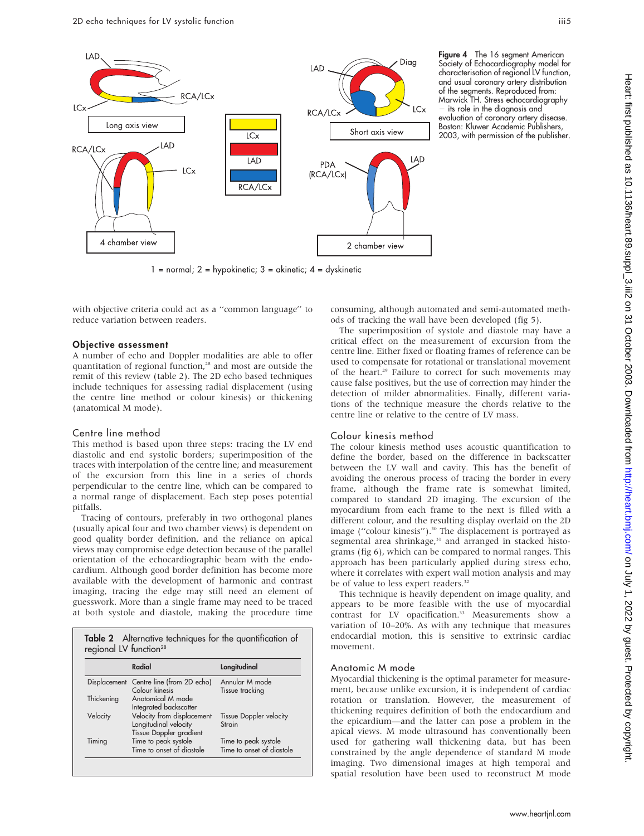

Figure 4 The 16 segment American Society of Echocardiography model for characterisation of regional LV function, and usual coronary artery distribution of the segments. Reproduced from: Marwick TH. Stress echocardiography - its role in the diagnosis and evaluation of coronary artery disease. Boston: Kluwer Academic Publishers, 2003, with permission of the publisher.

 $1 =$  normal;  $2 =$  hypokinetic;  $3 =$  akinetic;  $4 =$  dyskinetic

with objective criteria could act as a ''common language'' to reduce variation between readers.

### Objective assessment

A number of echo and Doppler modalities are able to offer quantitation of regional function,<sup>28</sup> and most are outside the remit of this review (table 2). The 2D echo based techniques include techniques for assessing radial displacement (using the centre line method or colour kinesis) or thickening (anatomical M mode).

# Centre line method

This method is based upon three steps: tracing the LV end diastolic and end systolic borders; superimposition of the traces with interpolation of the centre line; and measurement of the excursion from this line in a series of chords perpendicular to the centre line, which can be compared to a normal range of displacement. Each step poses potential pitfalls.

Tracing of contours, preferably in two orthogonal planes (usually apical four and two chamber views) is dependent on good quality border definition, and the reliance on apical views may compromise edge detection because of the parallel orientation of the echocardiographic beam with the endocardium. Although good border definition has become more available with the development of harmonic and contrast imaging, tracing the edge may still need an element of guesswork. More than a single frame may need to be traced at both systole and diastole, making the procedure time

| Table 2 Alternative techniques for the quantification of |
|----------------------------------------------------------|
| regional LV function <sup>28</sup>                       |

|            | Radial                                                                         | Longitudinal                                      |
|------------|--------------------------------------------------------------------------------|---------------------------------------------------|
|            | Displacement Centre line (from 2D echo)<br>Colour kinesis                      | Annular M mode<br>Tissue tracking                 |
| Thickening | Anatomical M mode<br>Integrated backscatter                                    |                                                   |
| Velocity   | Velocity from displacement<br>Longitudinal velocity<br>Tissue Doppler gradient | <b>Tissue Doppler velocity</b><br>Strain          |
| Timing     | Time to peak systole<br>Time to onset of diastole                              | Time to peak systole<br>Time to onset of diastole |

consuming, although automated and semi-automated methods of tracking the wall have been developed (fig 5).

The superimposition of systole and diastole may have a critical effect on the measurement of excursion from the centre line. Either fixed or floating frames of reference can be used to compensate for rotational or translational movement of the heart.<sup>29</sup> Failure to correct for such movements may cause false positives, but the use of correction may hinder the detection of milder abnormalities. Finally, different variations of the technique measure the chords relative to the centre line or relative to the centre of LV mass.

# Colour kinesis method

The colour kinesis method uses acoustic quantification to define the border, based on the difference in backscatter between the LV wall and cavity. This has the benefit of avoiding the onerous process of tracing the border in every frame, although the frame rate is somewhat limited, compared to standard 2D imaging. The excursion of the myocardium from each frame to the next is filled with a different colour, and the resulting display overlaid on the 2D image ("colour kinesis").<sup>30</sup> The displacement is portrayed as segmental area shrinkage,<sup>31</sup> and arranged in stacked histograms (fig 6), which can be compared to normal ranges. This approach has been particularly applied during stress echo, where it correlates with expert wall motion analysis and may be of value to less expert readers.<sup>32</sup>

This technique is heavily dependent on image quality, and appears to be more feasible with the use of myocardial contrast for LV opacification.<sup>33</sup> Measurements show a variation of 10–20%. As with any technique that measures endocardial motion, this is sensitive to extrinsic cardiac movement.

# Anatomic M mode

Myocardial thickening is the optimal parameter for measurement, because unlike excursion, it is independent of cardiac rotation or translation. However, the measurement of thickening requires definition of both the endocardium and the epicardium—and the latter can pose a problem in the apical views. M mode ultrasound has conventionally been used for gathering wall thickening data, but has been constrained by the angle dependence of standard M mode imaging. Two dimensional images at high temporal and spatial resolution have been used to reconstruct M mode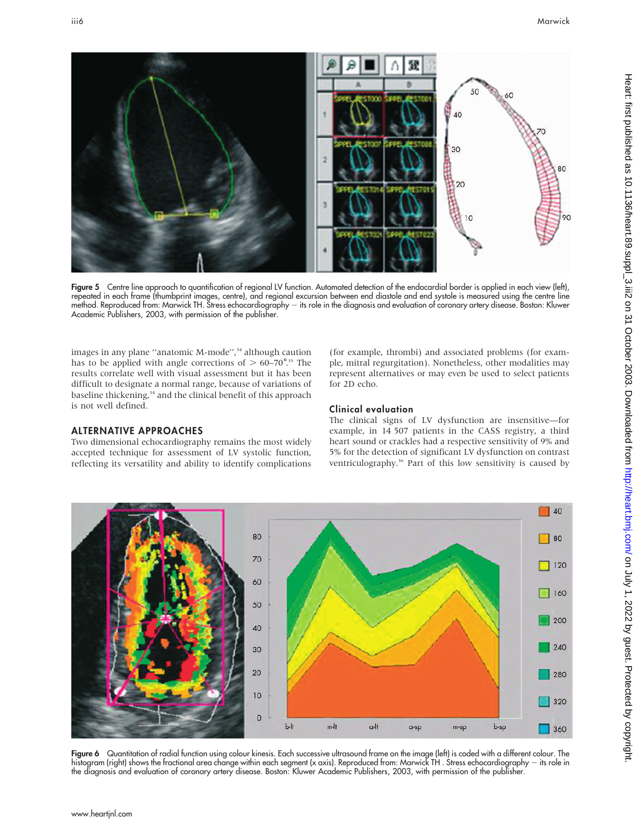

Figure 5 Centre line approach to quantification of regional LV function. Automated detection of the endocardial border is applied in each view (left), repeated in each frame (thumbprint images, centre), and regional excursion between end diastole and end systole is measured using the centre line method. Reproduced trom: Marwick TH. Stress echocardiography — its role in the diagnosis and evaluation ot coronary artery disease. Boston: Kluwer Academic Publishers, 2003, with permission of the publisher.

images in any plane "anatomic M-mode",<sup>34</sup> although caution has to be applied with angle corrections of  $> 60-70^{\circ}$ <sup>35</sup> The results correlate well with visual assessment but it has been difficult to designate a normal range, because of variations of baseline thickening,<sup>34</sup> and the clinical benefit of this approach is not well defined.

Two dimensional echocardiography remains the most widely accepted technique for assessment of LV systolic function, reflecting its versatility and ability to identify complications

ALTERNATIVE APPROACHES

# (for example, thrombi) and associated problems (for example, mitral regurgitation). Nonetheless, other modalities may represent alternatives or may even be used to select patients for 2D echo.

# Clinical evaluation

The clinical signs of LV dysfunction are insensitive—for example, in 14 507 patients in the CASS registry, a third heart sound or crackles had a respective sensitivity of 9% and 5% for the detection of significant LV dysfunction on contrast ventriculography.<sup>36</sup> Part of this low sensitivity is caused by



Figure 6 Quantitation of radial function using colour kinesis. Each successive ultrasound frame on the image (left) is coded with a different colour. The histogram (right) shows the fractional area change within each segment (x axis). Reproduced from: Marwick TH . Stress echocardiography 2 its role in the diagnosis and evaluation of coronary artery disease. Boston: Kluwer Academic Publishers, 2003, with permission of the publisher.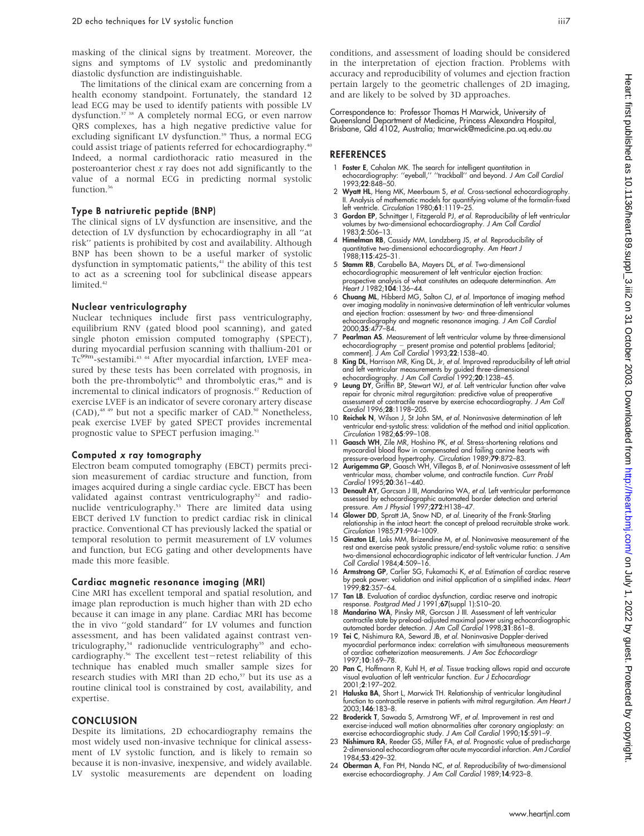masking of the clinical signs by treatment. Moreover, the signs and symptoms of LV systolic and predominantly diastolic dysfunction are indistinguishable.

The limitations of the clinical exam are concerning from a health economy standpoint. Fortunately, the standard 12 lead ECG may be used to identify patients with possible LV dysfunction.37 38 A completely normal ECG, or even narrow QRS complexes, has a high negative predictive value for excluding significant LV dysfunction.<sup>39</sup> Thus, a normal ECG could assist triage of patients referred for echocardiography.40 Indeed, a normal cardiothoracic ratio measured in the posteroanterior chest  $x$  ray does not add significantly to the value of a normal ECG in predicting normal systolic function.<sup>36</sup>

### Type B natriuretic peptide (BNP)

The clinical signs of LV dysfunction are insensitive, and the detection of LV dysfunction by echocardiography in all ''at risk'' patients is prohibited by cost and availability. Although BNP has been shown to be a useful marker of systolic dysfunction in symptomatic patients,<sup>41</sup> the ability of this test to act as a screening tool for subclinical disease appears limited.<sup>42</sup>

### Nuclear ventriculography

Nuclear techniques include first pass ventriculography, equilibrium RNV (gated blood pool scanning), and gated single photon emission computed tomography (SPECT), during myocardial perfusion scanning with thallium-201 or Tc<sup>99m</sup>-sestamibi.<sup>43</sup> <sup>44</sup> After myocardial infarction, LVEF measured by these tests has been correlated with prognosis, in both the pre-thrombolytic<sup>45</sup> and thrombolytic eras,<sup>46</sup> and is incremental to clinical indicators of prognosis.47 Reduction of exercise LVEF is an indicator of severe coronary artery disease (CAD),<sup>48 49</sup> but not a specific marker of CAD.<sup>50</sup> Nonetheless, peak exercise LVEF by gated SPECT provides incremental prognostic value to SPECT perfusion imaging.<sup>51</sup>

#### Computed x ray tomography

Electron beam computed tomography (EBCT) permits precision measurement of cardiac structure and function, from images acquired during a single cardiac cycle. EBCT has been validated against contrast ventriculography<sup>52</sup> and radionuclide ventriculography.53 There are limited data using EBCT derived LV function to predict cardiac risk in clinical practice. Conventional CT has previously lacked the spatial or temporal resolution to permit measurement of LV volumes and function, but ECG gating and other developments have made this more feasible.

#### Cardiac magnetic resonance imaging (MRI)

Cine MRI has excellent temporal and spatial resolution, and image plan reproduction is much higher than with 2D echo because it can image in any plane. Cardiac MRI has become the in vivo ''gold standard'' for LV volumes and function assessment, and has been validated against contrast ventriculography,<sup>54</sup> radionuclide ventriculography<sup>55</sup> and echocardiography.<sup>56</sup> The excellent test-retest reliability of this technique has enabled much smaller sample sizes for research studies with MRI than 2D echo,<sup>57</sup> but its use as a routine clinical tool is constrained by cost, availability, and expertise.

# **CONCLUSION**

Despite its limitations, 2D echocardiography remains the most widely used non-invasive technique for clinical assessment of LV systolic function, and is likely to remain so because it is non-invasive, inexpensive, and widely available. LV systolic measurements are dependent on loading

conditions, and assessment of loading should be considered in the interpretation of ejection fraction. Problems with accuracy and reproducibility of volumes and ejection fraction pertain largely to the geometric challenges of 2D imaging, and are likely to be solved by 3D approaches.

Correspondence to: Professor Thomas H Marwick, University of Queensland Department of Medicine, Princess Alexandra Hospital, Brisbane, Qld 4102, Australia; tmarwick@medicine.pa.uq.edu.au

# **REFERENCES**

- 1 Foster E, Cahalan MK. The search for intelligent quantitation in echocardiography: ''eyeball,'' ''trackball'' and beyond. J Am Coll Cardiol 1993;22:848–50.
- 2 Wyatt HL, Heng MK, Meerbaum S, et al. Cross-sectional echocardiography. II. Analysis of mathematic models for quantifying volume of the formalin-fixed left ventricle. Circulation 1980;61:1119-25.
- 3 Gordon EP, Schnittger I, Fitzgerald PJ, et al. Reproducibility of left ventricular volumes by two-dimensional echocardiography. J Am Coll Cardio.<br>1983;**2**:506–13.
- 4 Himelman RB, Cassidy MM, Landzberg JS, et al. Reproducibility of quantitative two-dimensional echocardiography. Am Heart J 1988;115:425–31.
- 5 Stamm RB, Carabello BA, Mayers DL, et al. Two-dimensional echocardiographic measurement of left ventricular ejection fraction: prospective analysis of what constitutes an adequate determination. Am Heart J 1982;104:136–44.
- 6 Chuang ML, Hibberd MG, Salton CJ, et al. Importance of imaging method over imaging modality in noninvasive determination of left ventricular volumes and ejection fraction: assessment by two- and three-dimensional echocardiography and magnetic resonance imaging. J Am Coll Cardiol 2000;35:477–84.
- 7 Pearlman AS. Measurement of left ventricular volume by three-dimensional echocardiography – present promise and potential problems [editorial;<br>comment]. *J Am Coll Cardiol* 1993;**22**:1538–40.
- 8 King DL, Harrison MR, King DL, Jr, et al. Improved reproducibility of left atrial and left ventricular measurements by guided three-dimensional<br>echocardiography. *J Am Coll Cardiol* 1992;**20**:1238–45.<br>9 **Leung DY**, Griffin BP, Stewart WJ, *et al*. Left ventricular function after valve
- repair for chronic mitral regurgitation: predictive value of preoperative assessment of contractile reserve by exercise echocardiography. J Am Coll Cardiol 1996;28:1198–205.
- 10 Reichek N, Wilson J, St John SM, et al. Noninvasive determination of left ventricular end-systolic stress: validation of the method and initial application. Circulation 1982;65:99–108.
- 11 Gaasch WH, Zile MR, Hoshino PK, et al. Stress-shortening relations and myocardial blood flow in compensated and failing canine hearts with
- pressure-overload hypertrophy. *Circulation* 1989;**79**:872–83.<br>12 **Aurigemma GP**, Gaasch WH, Villegas B, *et al*. Noninvasive assessment of left ventricular mass, chamber volume, and contractile function. Curr Probl Cardiol 1995;20:361–440.
- 13 Denault AY, Gorcsan J III, Mandarino WA, et al. Left ventricular performance assessed by echocardiographic automated border detection and arterial pressure. Am J Physiol 1997;272:H138–47.
- 14 Glower DD, Spratt JA, Snow ND, et al. Linearity of the Frank-Starling relationship in the intact heart: the concept of preload recruitable stroke work. Circulation 1985;71:994–1009.
- 15 Ginzton LE, Laks MM, Brizendine M, et al. Noninvasive measurement of the rest and exercise peak systolic pressure/end-systolic volume ratio: a sensitive two-dimensional echocardiographic indicator of left ventricular function. J Am Coll Cardiol 1984;4:509–16.
- 16 Armstrong GP, Carlier SG, Fukamachi K, et al. Estimation of cardiac reserve by peak power: validation and initial application of a simplified index. *Hear*<br>1999;**82**:357–64.
- 17 Tan LB. Evaluation of cardiac dysfunction, cardiac reserve and inotropic response. Postgrad Med J 1991;67(suppl 1):S10-20.
- 18 Mandarino WA, Pinsky MR, Gorcsan J III. Assessment of left ventricular contractile state by preload-adjusted maximal power using echocardiographic automated border detection. J Am Coll Cardiol 1998;31:861–8.
- 19 Tei C, Nishimura RA, Seward JB, et al. Noninvasive Doppler-derived myocardial performance index: correlation with simultaneous measurements of cardiac catheterization measurements. J Am Soc Echocardiogr 1997;10:169–78.
- 20 Pan C, Hoffmann R, Kuhl H, et al. Tissue tracking allows rapid and accurate visual evaluation of left ventricular function. Eur J Echocardiogr 2001;2:197–202.
- 21 Haluska BA, Short L, Marwick TH. Relationship of ventricular longitudinal function to contractile reserve in patients with mitral regurgitation. Am Heart J 2003;146:183–8.
- 22 Broderick T, Sawada S, Armstrong WF, et al. Improvement in rest and exercise-induced wall motion abnormalities after coronary angioplasty: an<br>exercise echocardiographic study. J Am Coll Cardiol 1990;15:591–9.<br>23 Nishimura RA, Reeder GS, Miller FA, *et al.* Prognostic value of predischarge
- 2-dimensional echocardiogram after acute myocardial infarction. Am J Cardiol 1984;53:429–32.
- 24 Oberman A, Fan PH, Nanda NC, et al. Reproducibility of two-dimensional exercise echocardiography. J Am Coll Cardiol 1989;14:923–8.